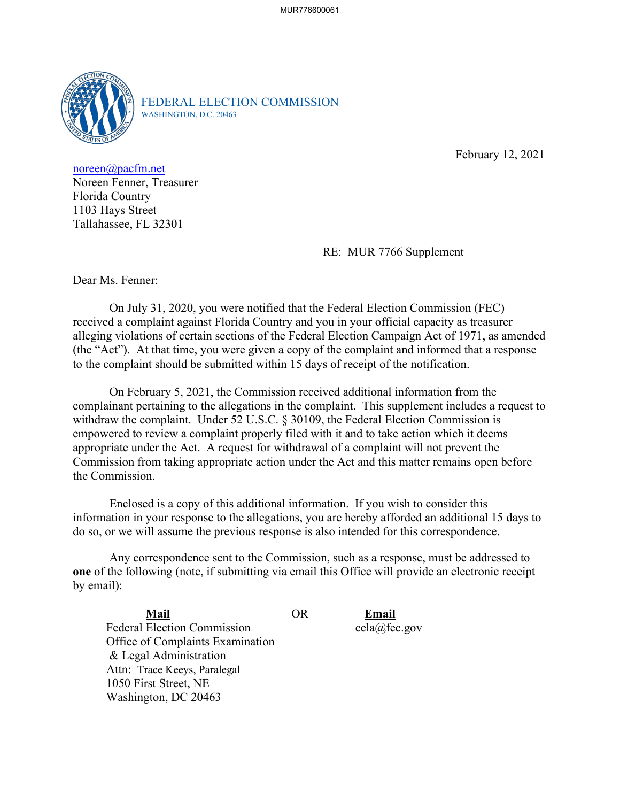

FEDERAL ELECTION COMMISSION WASHINGTON, D.C. 20463

February 12, 2021

[noreen@pacfm.net](mailto:noreen@pacfm.net) Noreen Fenner, Treasurer Florida Country 1103 Hays Street Tallahassee, FL 32301

RE: MUR 7766 Supplement

Dear Ms. Fenner:

On July 31, 2020, you were notified that the Federal Election Commission (FEC) received a complaint against Florida Country and you in your official capacity as treasurer alleging violations of certain sections of the Federal Election Campaign Act of 1971, as amended (the "Act"). At that time, you were given a copy of the complaint and informed that a response to the complaint should be submitted within 15 days of receipt of the notification.

 empowered to review a complaint properly filed with it and to take action which it deems On February 5, 2021, the Commission received additional information from the complainant pertaining to the allegations in the complaint. This supplement includes a request to withdraw the complaint. Under 52 U.S.C. § 30109, the Federal Election Commission is appropriate under the Act. A request for withdrawal of a complaint will not prevent the Commission from taking appropriate action under the Act and this matter remains open before the Commission.

 Enclosed is a copy of this additional information. If you wish to consider this information in your response to the allegations, you are hereby afforded an additional 15 days to do so, or we will assume the previous response is also intended for this correspondence.

 Any correspondence sent to the Commission, such as a response, must be addressed to **one** of the following (note, if submitting via email this Office will provide an electronic receipt by email):

Mail Federal Election Commission Office of Complaints Examination & Legal Administration Attn: Trace Keeys, Paralegal 1050 First Street, NE Washington, DC 20463

**Mail** OR **Email**  cela@fec.gov